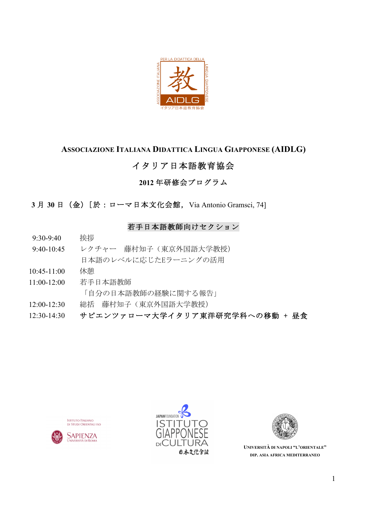

## ASSOCIAZIONE ITALIANA DIDATTICA LINGUA GIAPPONESE (AIDLG)

## イタリア日本語教育協会

## 2012年研修会プログラム

3月 30日 (金) [於:ローマ日本文化会館, Via Antonio Gramsci, 74]

## 若手日本語教師向けセクション

- 挨拶 9:30-9:40
- レクチャー 藤村知子 (東京外国語大学教授)  $9.40 - 10.45$ 日本語のレベルに応じたEラーニングの活用
- 休憩  $10:45-11:00$
- $11:00-12:00$ 若手日本語教師 「自分の日本語教師の経験に関する報告」
- 総括 藤村知子 (東京外国語大学教授)  $12.00 - 12.30$
- サピエンツァローマ大学イタリア東洋研究学科への移動 + 昼食  $12:30-14:30$







UNIVERSITÀ DI NAPOLI "L'ORIENTALE" DIP. ASIA AFRICA MEDITERRANEO